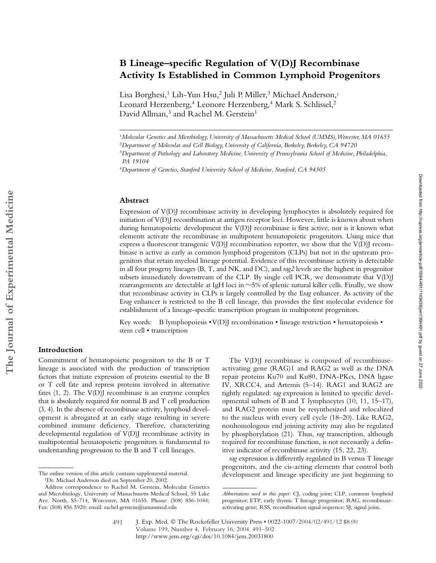# **B Lineage–specific Regulation of V(D)J Recombinase Activity Is Established in Common Lymphoid Progenitors**

Lisa Borghesi,<sup>1</sup> Lih-Yun Hsu,<sup>2</sup> Juli P. Miller,<sup>3</sup> Michael Anderson,<sup>†</sup> Leonard Herzenberg,<sup>4</sup> Leonore Herzenberg,<sup>4</sup> Mark S. Schlissel,<sup>2</sup> David Allman,<sup>3</sup> and Rachel M. Gerstein<sup>1</sup>

#### **Abstract**

Expression of V(D)J recombinase activity in developing lymphocytes is absolutely required for initiation of V(D)J recombination at antigen receptor loci. However, little is known about when during hematopoietic development the V(D)J recombinase is first active, nor is it known what elements activate the recombinase in multipotent hematopoietic progenitors. Using mice that express a fluorescent transgenic  $V(D)$ ] recombination reporter, we show that the  $V(D)$ ] recombinase is active as early as common lymphoid progenitors (CLPs) but not in the upstream progenitors that retain myeloid lineage potential. Evidence of this recombinase activity is detectable in all four progeny lineages (B, T, and NK, and DC), and *rag2* levels are the highest in progenitor subsets immediately downstream of the CLP. By single cell PCR, we demonstrate that V(D)J rearrangements are detectable at IgH loci in  $\sim$ 5% of splenic natural killer cells. Finally, we show that recombinase activity in CLPs is largely controlled by the E*rag* enhancer. As activity of the E*rag* enhancer is restricted to the B cell lineage, this provides the first molecular evidence for establishment of a lineage-specific transcription program in multipotent progenitors.

Key words: B lymphopoiesis  $\cdot V(D)$  recombination  $\cdot$  lineage restriction  $\cdot$  hematopoiesis  $\cdot$ stem cell • transcription

## **Introduction**

Commitment of hematopoietic progenitors to the B or T lineage is associated with the production of transcription factors that initiate expression of proteins essential to the B or T cell fate and repress proteins involved in alternative fates  $(1, 2)$ . The  $V(D)$  recombinase is an enzyme complex that is absolutely required for normal B and T cell production (3, 4). In the absence of recombinase activity, lymphoid development is abrogated at an early stage resulting in severe combined immune deficiency. Therefore, characterizing developmental regulation of V(D)J recombinase activity in multipotential hematopoietic progenitors is fundamental to understanding progression to the B and T cell lineages.

The V(D)J recombinase is composed of recombinaseactivating gene (RAG)1 and RAG2 as well as the DNA repair proteins Ku70 and Ku80, DNA-PKcs, DNA ligase IV, XRCC4, and Artemis (5–14). RAG1 and RAG2 are tightly regulated: *rag* expression is limited to specific developmental subsets of B and T lymphocytes (10, 11, 15–17), and RAG2 protein must be resynthesized and relocalized to the nucleus with every cell cycle (18–20). Like RAG2, nonhomologous end joining activity may also be regulated by phosphorylation (21). Thus, *rag* transcription, although required for recombinase function, is not necessarily a definitive indicator of recombinase activity (15, 22, 23).

*rag* expression is differently regulated in B versus T lineage progenitors, and the cis-acting elements that control both

<sup>1</sup>*Molecular Genetics and Microbiology, University of Massachusetts Medical School (UMMS), Worcester, MA 01655*

<sup>2</sup>*Department of Molecular and Cell Biology, University of California, Berkeley, Berkeley, CA 94720*

<sup>3</sup>*Department of Pathology and Laboratory Medicine, University of Pennsylvania School of Medicine, Philadelphia, PA 19104*

<sup>4</sup>*Department of Genetics, Stanford University School of Medicine, Stanford, CA 94305*

The online version of this article contains supplemental material.<br>
<sup>†</sup>Dr. Michael Anderson died on September 20, 2002.

Address correspondence to Rachel M. Gerstein, Molecular Genetics and Microbiology, University of Massachusetts Medical School, 55 Lake Ave. North, S5-714, Worcester, MA 01655. Phone: (508) 856-1044; Fax: (508) 856 5920; email: rachel.gerstein@umassmed.edu

*Abbreviations used in this paper:* CJ, coding joint; CLP, common lymphoid progenitor; ETP, early thymic T lineage progenitor; RAG, recombinaseactivating gene; RSS, recombination signal sequence; SJ, signal joint.

J. Exp. Med. © The Rockefeller University Press • 0022-1007/2004/02/491/12 \$8.00 Volume 199, Number 4, February 16, 2004 491–502 http://www.jem.org/cgi/doi/10.1084/jem.20031800 491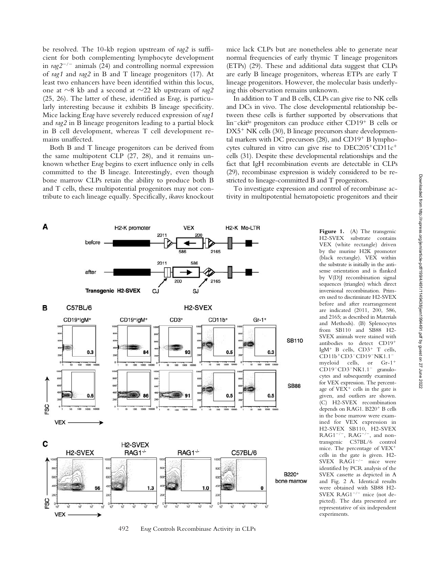be resolved. The 10-kb region upstream of *rag2* is sufficient for both complementing lymphocyte development in *rag2*-/- animals (24) and controlling normal expression of *rag1* and *rag2* in B and T lineage progenitors (17). At least two enhancers have been identified within this locus, one at  $\sim$ 8 kb and a second at  $\sim$ 22 kb upstream of *rag2* (25, 26). The latter of these, identified as E*rag*, is particularly interesting because it exhibits B lineage specificity. Mice lacking E*rag* have severely reduced expression of *rag1* and *rag2* in B lineage progenitors leading to a partial block in B cell development, whereas T cell development remains unaffected.

Both B and T lineage progenitors can be derived from the same multipotent CLP (27, 28), and it remains unknown whether E*rag* begins to exert influence only in cells committed to the B lineage. Interestingly, even though bone marrow CLPs retain the ability to produce both B and T cells, these multipotential progenitors may not contribute to each lineage equally. Specifically, *ikaros* knockout mice lack CLPs but are nonetheless able to generate near normal frequencies of early thymic T lineage progenitors (ETPs) (29). These and additional data suggest that CLPs are early B lineage progenitors, whereas ETPs are early T lineage progenitors. However, the molecular basis underlying this observation remains unknown.

In addition to T and B cells, CLPs can give rise to NK cells and DCs in vivo. The close developmental relationship between these cells is further supported by observations that lin<sup>-</sup>ckit<sup>lo</sup> progenitors can produce either CD19<sup>+</sup> B cells or  $DX5^+$  NK cells (30), B lineage precursors share developmental markers with DC precursors  $(28)$ , and CD19<sup>+</sup> B lymphocytes cultured in vitro can give rise to  $DEC205+CDI1c^+$ cells (31). Despite these developmental relationships and the fact that IgH recombination events are detectable in CLPs (29), recombinase expression is widely considered to be restricted to lineage-committed B and T progenitors.

To investigate expression and control of recombinase activity in multipotential hematopoietic progenitors and their



492 E*rag* Controls Recombinase Activity in CLPs

Figure 1. (A) The transgenic H2-SVEX substrate contains VEX (white rectangle) driven by the murine H2K promoter (black rectangle). VEX within the substrate is initially in the antisense orientation and is flanked by V(D)J recombination signal sequences (triangles) which direct inversional recombination. Primers used to discriminate H2-SVEX before and after rearrangement are indicated (2011, 200, 586, and 2165; as described in Materials and Methods). (B) Splenocytes from SB110 and SB88 H2- SVEX animals were stained with antibodies to detect CD19 IgM<sup>+</sup> B cells,  $CD3^+$  T cells, CD11b+CD3-CD19-NK1.1myeloid cells, or Gr-1 CD19<sup>-</sup>CD3<sup>-</sup>NK1.1<sup>-</sup> granulocytes and subsequently examined for VEX expression. The percentage of VEX<sup>+</sup> cells in the gate is given, and outliers are shown. (C) H2-SVEX recombination depends on RAG1. B220<sup>+</sup> B cells in the bone marrow were examined for VEX expression in H2-SVEX SB110, H2-SVEX  $RAG1^{-/-}$ ,  $RAG^{-/-}$ , and nontransgenic C57BL/6 control mice. The percentage of VEX cells in the gate is given. H2- SVEX RAG1<sup>-/-</sup> mice were identified by PCR analysis of the SVEX cassette as depicted in A and Fig. 2 A. Identical results were obtained with SB88 H2- SVEX RAG1<sup>-/-</sup> mice (not depicted). The data presented are representative of six independent experiments.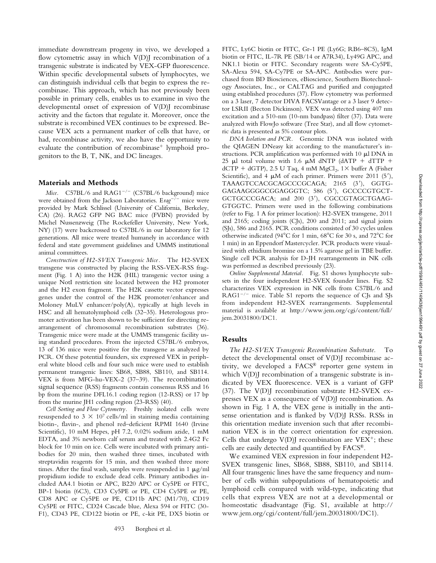immediate downstream progeny in vivo, we developed a flow cytometric assay in which  $V(D)$  recombination of a transgenic substrate is indicated by VEX-GFP fluorescence. Within specific developmental subsets of lymphocytes, we can distinguish individual cells that begin to express the recombinase. This approach, which has not previously been possible in primary cells, enables us to examine in vivo the developmental onset of expression of V(D)J recombinase activity and the factors that regulate it. Moreover, once the substrate is recombined VEX continues to be expressed. Because VEX acts a permanent marker of cells that have, or had, recombinase activity, we also have the opportunity to evaluate the contribution of recombinase<sup>+</sup> lymphoid progenitors to the B, T, NK, and DC lineages.

#### **Materials and Methods**

Mice. C57BL/6 and RAG1<sup>-/-</sup> (C57BL/6 background) mice were obtained from the Jackson Laboratories. Erag<sup>-/-</sup> mice were provided by Mark Schlissel (University of California, Berkeley, CA) (26). RAG2 GFP NG BAC mice (FVBN) provided by Michel Nussenzweig (The Rockefeller University, New York, NY) (17) were backcrossed to C57BL/6 in our laboratory for 12 generations. All mice were treated humanely in accordance with federal and state government guidelines and UMMS institutional animal committees.

*Construction of H2-SVEX Transgenic Mice.* The H2-SVEX transgene was constructed by placing the RSS-VEX-RSS fragment (Fig. 1 A) into the H2K (HIL) transgenic vector using a unique NotI restriction site located between the H2 promoter and the H2 exon fragment. The H2K cassette vector expresses genes under the control of the H2K promoter/enhancer and Moloney MuLV enhancer/poly(A), typically at high levels in HSC and all hematolymphoid cells (32–35). Heterologous promoter activation has been shown to be sufficient for directing rearrangement of chromosomal recombination substrates (36). Transgenic mice were made at the UMMS transgenic facility using standard procedures. From the injected C57BL/6 embryos, 13 of 136 mice were positive for the transgene as analyzed by PCR. Of these potential founders, six expressed VEX in peripheral white blood cells and four such mice were used to establish permanent transgenic lines: SB68, SB88, SB110, and SB114. VEX is from MFG-hu-VEX-2 (37–39). The recombination signal sequence (RSS) fragments contain consensus RSS and 16 bp from the murine DFL16.1 coding region (12-RSS) or 17 bp from the murine JH1 coding region (23-RSS) (40).

*Cell Sorting and Flow Cytometry.* Freshly isolated cells were resuspended to 3  $\times$  10<sup>7</sup> cells/ml in staining media containing biotin-, flavin-, and phenol red–deficient RPMI 1640 (Irvine Scientific), 10 mM Hepes, pH 7.2, 0.02% sodium azide, 1 mM EDTA, and 3% newborn calf serum and treated with 2.4G2 Fc block for 10 min on ice. Cells were incubated with primary antibodies for 20 min, then washed three times, incubated with streptavidin reagents for 15 min, and then washed three more times. After the final wash, samples were resuspended in 1  $\mu$ g/ml propidium iodide to exclude dead cells. Primary antibodies included AA4.1 biotin or APC, B220 APC or Cy5PE or FITC, BP-1 biotin (6C3), CD3 Cy5PE or PE, CD4 Cy5PE or PE, CD8 APC or Cy5PE or PE, CD11b APC (M1/70), CD19 Cy5PE or FITC, CD24 Cascade blue, Alexa 594 or FITC (30- F1), CD43 PE, CD122 biotin or PE, c-kit PE, DX5 biotin or FITC, Ly6C biotin or FITC, Gr-1 PE (Ly6G; RB6–8C5), IgM biotin or FITC, IL-7R PE (SB/14 or A7R34), Ly49G APC, and NK1.1 biotin or FITC. Secondary reagents were SA-Cy5PE, SA-Alexa 594, SA-Cy7PE or SA-APC. Antibodies were purchased from BD Biosciences, eBioscience, Southern Biotechnology Associates, Inc., or CALTAG and purified and conjugated using established procedures (37). Flow cytometry was performed on a 3 laser, 7 detector DIVA FACSVantage or a 3 laser 9 detector LSRII (Becton Dickinson). VEX was detected using 407 nm excitation and a 510-nm (10-nm bandpass) filter (37). Data were analyzed with FlowJo software (Tree Star), and all flow cytometric data is presented as 5% contour plots.

*DNA Isolation and PCR.* Genomic DNA was isolated with the QIAGEN DNeasy kit according to the manufacturer's instructions. PCR amplification was performed with  $10 \mu$ l DNA in 25  $\mu$ l total volume with 1.6  $\mu$ M dNTP (dATP + dTTP + dCTP + dGTP), 2.5 U Taq, 4 mM  $MgCl<sub>2</sub>$ , 1 $\times$  buffer A (Fisher Scientific), and 4  $\mu$ M of each primer. Primers were 2011 (5'), TAAAGTCCACGCAGCCCGCAGA; 2165 (3'), GGTG-GAGAAGGGGCGGAGGGTC; 586 (5), GCCCCGTGCT-GCTGCCCGACA; and 200 (3'), CGCCGTAGCTGAAG-GTGGTC. Primers were used in the following combinations (refer to Fig. 1 A for primer location): H2-SVEX transgene, 2011 and 2165; coding joints (CJs), 200 and 2011; and signal joints (SJs), 586 and 2165. PCR conditions consisted of 30 cycles unless otherwise indicated (94 $^{\circ}$ C for 1 min, 68 $^{\circ}$ C for 30 s, and 72 $^{\circ}$ C for 1 min) in an Eppendorf Mastercycler. PCR products were visualized with ethidium bromine on a 1.5% agarose gel in TBE buffer. Single cell PCR analysis for D-JH rearrangements in NK cells was performed as described previously (23).

*Online Supplemental Material.* Fig. S1 shows lymphocyte subsets in the four independent H2-SVEX founder lines. Fig. S2 characterizes VEX expression in NK cells from C57BL/6 and RAG1<sup>-/-</sup> mice. Table S1 reports the sequence of CJs and SJs from independent H2-SVEX rearrangements. Supplemental material is available at http://www.jem.org/cgi/content/full/ jem.20031800/DC1.

#### **Results**

*The H2-SVEX Transgenic Recombination Substrate.* To detect the developmental onset of  $V(D)$  recombinase activity, we developed a FACS® reporter gene system in which V(D)J recombination of a transgenic substrate is indicated by VEX fluorescence. VEX is a variant of GFP (37). The V(D)J recombination substrate H2-SVEX expresses VEX as a consequence of V(D)J recombination. As shown in Fig. 1 A, the VEX gene is initially in the antisense orientation and is flanked by V(D)J RSSs. RSSs in this orientation mediate inversion such that after recombination VEX is in the correct orientation for expression. Cells that undergo  $V(D)$  recombination are VEX<sup>+</sup>; these cells are easily detected and quantified by FACS®.

We examined VEX expression in four independent H2- SVEX transgenic lines, SB68, SB88, SB110, and SB114. All four transgenic lines have the same frequency and number of cells within subpopulations of hematopoietic and lymphoid cells compared with wild-type, indicating that cells that express VEX are not at a developmental or homeostatic disadvantage (Fig. S1, available at http:// www.jem.org/cgi/content/full/jem.20031800/DC1).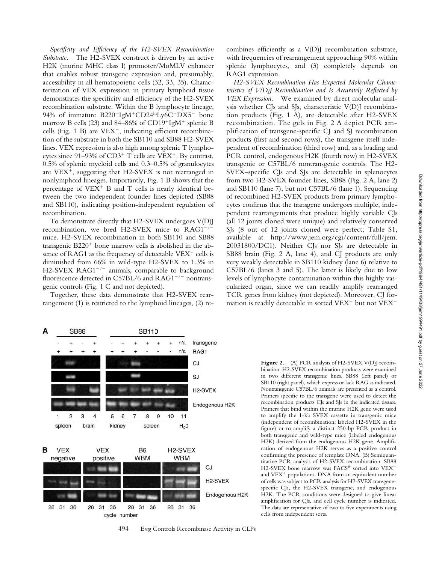*Specificity and Efficiency of the H2-SVEX Recombination Substrate.* The H2-SVEX construct is driven by an active H2K (murine MHC class I) promoter/MoMLV enhancer that enables robust transgene expression and, presumably, accessibility in all hematopoietic cells (32, 33, 35). Characterization of VEX expression in primary lymphoid tissue demonstrates the specificity and efficiency of the H2-SVEX recombination substrate. Within the B lymphocyte lineage, 94% of immature B220<sup>+</sup>IgM<sup>+</sup>CD24<sup>hi</sup>Ly6C<sup>-</sup>DX5<sup>-</sup> bone marrow B cells (23) and 84–86% of CD19<sup>+</sup>IgM<sup>+</sup> splenic B cells (Fig. 1 B) are  $VEX^{+}$ , indicating efficient recombination of the substrate in both the SB110 and SB88 H2-SVEX lines. VEX expression is also high among splenic T lymphocytes since  $91-93\%$  of CD3<sup>+</sup> T cells are VEX<sup>+</sup>. By contrast, 0.5% of splenic myeloid cells and 0.3–0.5% of granulocytes are  $VEX^{+}$ , suggesting that H2-SVEX is not rearranged in nonlymphoid lineages. Importantly, Fig. 1 B shows that the percentage of  $VEX^+$  B and T cells is nearly identical between the two independent founder lines depicted (SB88 and SB110), indicating position-independent regulation of recombination.

To demonstrate directly that H2-SVEX undergoes V(D)J recombination, we bred H2-SVEX mice to RAG1<sup>-/-</sup> mice. H2-SVEX recombination in both SB110 and SB88 transgenic  $B220<sup>+</sup>$  bone marrow cells is abolished in the absence of RAG1 as the frequency of detectable  $VEX^{+}$  cells is diminished from 66% in wild-type H2-SVEX to 1.3% in H2-SVEX RAG1<sup>-/-</sup> animals, comparable to background fluorescence detected in C57BL/6 and RAG1<sup>-/-</sup> nontransgenic controls (Fig. 1 C and not depicted).

Together, these data demonstrate that H2-SVEX rearrangement (1) is restricted to the lymphoid lineages, (2) recombines efficiently as a V(D)J recombination substrate, with frequencies of rearrangement approaching 90% within splenic lymphocytes, and (3) completely depends on RAG1 expression.

*H2-SVEX Recombination Has Expected Molecular Characteristics of V(D)J Recombination and Is Accurately Reflected by VEX Expression.* We examined by direct molecular analysis whether CJs and SJs, characteristic V(D)J recombination products (Fig. 1 A), are detectable after H2-SVEX recombination. The gels in Fig. 2 A depict PCR amplification of transgene-specific CJ and SJ recombination products (first and second rows), the transgene itself independent of recombination (third row) and, as a loading and PCR control, endogenous H2K (fourth row) in H2-SVEX transgenic or C57BL/6 nontransgenic controls. The H2- SVEX–specific CJs and SJs are detectable in splenocytes from two H2-SVEX founder lines, SB88 (Fig. 2 A, lane 2) and SB110 (lane 7), but not C57BL/6 (lane 1). Sequencing of recombined H2-SVEX products from primary lymphocytes confirms that the transgene undergoes multiple, independent rearrangements that produce highly variable CJs (all 12 joints cloned were unique) and relatively conserved SJs (8 out of 12 joints cloned were perfect; Table S1, available at http://www.jem.org/cgi/content/full/jem. 20031800/DC1). Neither CJs nor SJs are detectable in SB88 brain (Fig. 2 A, lane 4), and CJ products are only very weakly detectable in SB110 kidney (lane 6) relative to C57BL/6 (lanes 3 and 5). The latter is likely due to low levels of lymphocyte contamination within this highly vascularized organ, since we can readily amplify rearranged TCR genes from kidney (not depicted). Moreover, CJ formation is readily detectable in sorted VEX<sup>+</sup> but not VEX<sup>-</sup>



494 E*rag* Controls Recombinase Activity in CLPs

Figure 2. (A) PCR analysis of H2-SVEX V(D)] recombination. H2-SVEX recombination products were examined in two different transgenic lines, SB88 (left panel) or SB110 (right panel), which express or lack RAG as indicated. Nontransgenic C57BL/6 animals are presented as a control. Primers specific to the transgene were used to detect the recombination products CJs and SJs in the indicated tissues. Primers that bind within the murine H2K gene were used to amplify the 1-kb SVEX cassette in transgenic mice (independent of recombination; labeled H2-SVEX in the figure) or to amplify a distinct 250-bp PCR product in both transgenic and wild-type mice (labeled endogenous H2K) derived from the endogenous H2K gene. Amplification of endogenous H2K serves as a positive control confirming the presence of template DNA. (B) Semiquantitative PCR analysis of H2-SVEX recombination. SB88 H2-SVEX bone marrow was FACS® sorted into VEX and  $VEX^{+}$  populations. DNA from an equivalent number of cells was subject to PCR analysis for H2-SVEX transgenespecific CJs, the H2-SVEX transgene, and endogenous H2K. The PCR conditions were designed to give linear amplification for CJs, and cell cycle number is indicated. The data are representative of two to five experiments using cells from independent sorts.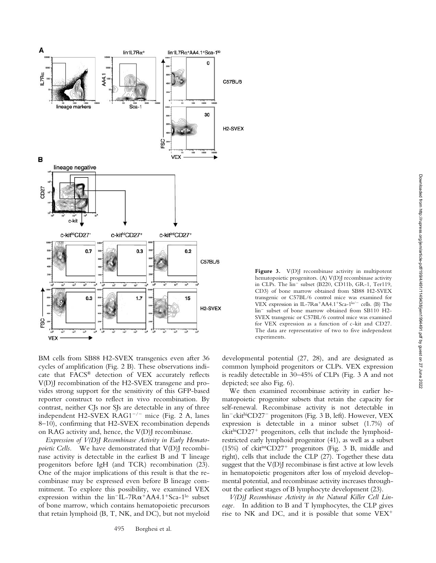

Figure 3. V(D)J recombinase activity in multipotent hematopoietic progenitors. (A) V(D)J recombinase activity in CLPs. The  $lin^-$  subset (B220, CD11b, GR-1, Ter119, CD3) of bone marrow obtained from SB88 H2-SVEX transgenic or C57BL/6 control mice was examined for VEX expression in IL-7 $R\alpha^+AA4.1^+Sca-1^{lo/-}$  cells. (B) The lin- subset of bone marrow obtained from SB110 H2- SVEX transgenic or C57BL/6 control mice was examined for VEX expression as a function of c-kit and CD27. The data are representative of two to five independent experiments.

BM cells from SB88 H2-SVEX transgenics even after 36 cycles of amplification (Fig. 2 B). These observations indicate that FACS® detection of VEX accurately reflects V(D)J recombination of the H2-SVEX transgene and provides strong support for the sensitivity of this GFP-based reporter construct to reflect in vivo recombination. By contrast, neither CJs nor SJs are detectable in any of three independent H2-SVEX RAG1<sup>-/-</sup> mice (Fig. 2 A, lanes 8–10), confirming that H2-SVEX recombination depends on RAG activity and, hence, the V(D)J recombinase.

*Expression of V(D)J Recombinase Activity in Early Hematopoietic Cells.* We have demonstrated that V(D)I recombinase activity is detectable in the earliest B and T lineage progenitors before IgH (and TCR) recombination (23). One of the major implications of this result is that the recombinase may be expressed even before B lineage commitment. To explore this possibility, we examined VEX expression within the  $lin^{-}IL$ -7R $\alpha$ <sup>+</sup>AA4.1<sup>+</sup>Sca-1<sup>lo</sup> subset of bone marrow, which contains hematopoietic precursors that retain lymphoid (B, T, NK, and DC), but not myeloid

developmental potential (27, 28), and are designated as common lymphoid progenitors or CLPs. VEX expression is readily detectable in 30–45% of CLPs (Fig. 3 A and not depicted; see also Fig. 6).

We then examined recombinase activity in earlier hematopoietic progenitor subsets that retain the capacity for self-renewal. Recombinase activity is not detectable in lin-ckithiCD27- progenitors (Fig. 3 B, left). However, VEX expression is detectable in a minor subset (1.7%) of  $ckit^{hi}CD27^{+}$  progenitors, cells that include the lymphoidrestricted early lymphoid progenitor (41), as well as a subset  $(15%)$  of ckit<sup>int</sup>CD27<sup>+</sup> progenitors (Fig. 3 B, middle and right), cells that include the CLP (27). Together these data suggest that the V(D)J recombinase is first active at low levels in hematopoietic progenitors after loss of myeloid developmental potential, and recombinase activity increases throughout the earliest stages of B lymphocyte development (23).

*V(D)J Recombinase Activity in the Natural Killer Cell Lineage.* In addition to B and T lymphocytes, the CLP gives rise to NK and DC, and it is possible that some VEX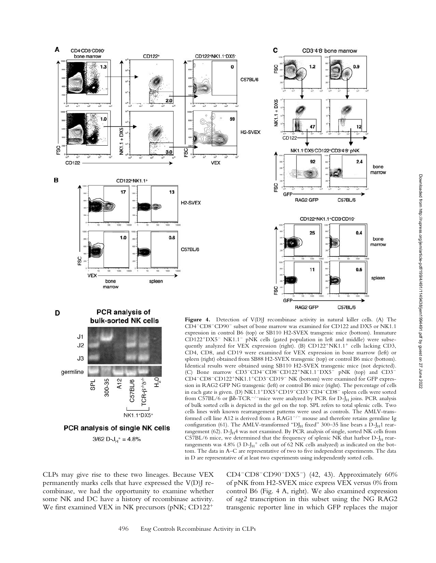







Figure 4. Detection of V(D)J recombinase activity in natural killer cells. (A) The CD4<sup>-</sup>CD8<sup>-</sup>CD90<sup>-</sup> subset of bone marrow was examined for CD122 and DX5 or NK1.1 expression in control B6 (top) or SB110 H2-SVEX transgenic mice (bottom). Immature CD122<sup>+</sup>DX5<sup>-</sup> NK1.1<sup>-</sup> pNK cells (gated population in left and middle) were subsequently analyzed for VEX expression (right). (B)  $CD122^+NK1.1^+$  cells lacking CD3, CD4, CD8, and CD19 were examined for VEX expression in bone marrow (left) or spleen (right) obtained from SB88 H2-SVEX transgenic (top) or control B6 mice (bottom). Identical results were obtained using SB110 H2-SVEX transgenic mice (not depicted). (C) Bone marrow CD3<sup>-</sup>CD4<sup>-</sup>CD8<sup>-</sup>CD122<sup>+</sup>NK1.1<sup>-</sup>DX5<sup>-</sup> pNK (top) and CD3<sup>-</sup> CD4<sup>-</sup>CD8<sup>-</sup>CD122<sup>+</sup>NK1.1<sup>+</sup>CD3<sup>-</sup>CD19<sup>-</sup> NK (bottom) were examined for GFP expression in RAG2 GFP NG transgenic (left) or control B6 mice (right). The percentage of cells in each gate is given. (D) NK1.1<sup>+</sup>DX5<sup>+</sup>CD19<sup>-</sup>CD3<sup>-</sup>CD4<sup>-</sup>CD8<sup>-</sup> spleen cells were sorted from C57BL/6 or  $\beta\delta\text{-TCR}^{-/-}$ mice were analyzed by PCR for D-J<sub>H</sub> joins. PCR analysis of bulk sorted cells is depicted in the gel on the top. SPL refers to total splenic cells. Two cells lines with known rearrangement patterns were used as controls. The AMLV-transformed cell line A12 is derived from a  $RAG1^{-/-}$  mouse and therefore retains germline Ig configuration (61). The AMLV-transformed "DJ<sub>H</sub> fixed" 300-35 line bears a D-J<sub>H</sub>1 rearrangement (62).  $D-I<sub>H</sub>4$  was not examined. By PCR analysis of single, sorted NK cells from C57BL/6 mice, we determined that the frequency of splenic NK that harbor  $D-J_H$  rearrangements was 4.8% (3 D- $I_H^+$  cells out of 62 NK cells analyzed) as indicated on the bottom. The data in A–C are representative of two to five independent experiments. The data in D are representative of at least two experiments using independently sorted cells.

CLPs may give rise to these two lineages. Because VEX permanently marks cells that have expressed the V(D)J recombinase, we had the opportunity to examine whether some NK and DC have a history of recombinase activity. We first examined VEX in NK precursors (pNK; CD122<sup>+</sup>

CD4<sup>-</sup>CD8<sup>-</sup>CD90<sup>-</sup>DX5<sup>-</sup>) (42, 43). Approximately 60% of pNK from H2-SVEX mice express VEX versus 0% from control B6 (Fig. 4 A, right). We also examined expression of *rag2* transcription in this subset using the NG RAG2 transgenic reporter line in which GFP replaces the major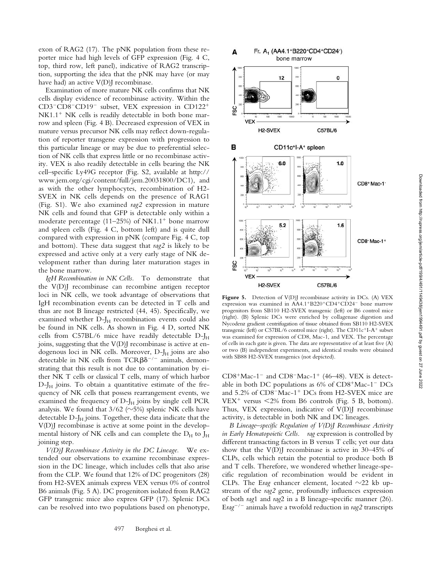exon of RAG2 (17). The pNK population from these reporter mice had high levels of GFP expression (Fig. 4 C, top, third row, left panel), indicative of RAG2 transcription, supporting the idea that the pNK may have (or may have had) an active  $V(D)$  recombinase.

Examination of more mature NK cells confirms that NK cells display evidence of recombinase activity. Within the CD3<sup>-</sup>CD8<sup>-</sup>CD19<sup>-</sup> subset, VEX expression in CD122<sup>+</sup>  $NK1.1<sup>+</sup> NK$  cells is readily detectable in both bone marrow and spleen (Fig. 4 B). Decreased expression of VEX in mature versus precursor NK cells may reflect down-regulation of reporter transgene expression with progression to this particular lineage or may be due to preferential selection of NK cells that express little or no recombinase activity. VEX is also readily detectable in cells bearing the NK cell–specific Ly49G receptor (Fig. S2, available at http:// www.jem.org/cgi/content/full/jem.20031800/DC1), and as with the other lymphocytes, recombination of H2- SVEX in NK cells depends on the presence of RAG1 (Fig. S1). We also examined *rag2* expression in mature NK cells and found that GFP is detectable only within a moderate percentage  $(11–25%)$  of NK1.1<sup>+</sup> bone marrow and spleen cells (Fig. 4 C, bottom left) and is quite dull compared with expression in pNK (compare Fig. 4 C, top and bottom). These data suggest that *rag2* is likely to be expressed and active only at a very early stage of NK development rather than during later maturation stages in the bone marrow.

*IgH Recombination in NK Cells.* To demonstrate that the V(D)J recombinase can recombine antigen receptor loci in NK cells, we took advantage of observations that IgH recombination events can be detected in T cells and thus are not B lineage restricted (44, 45). Specifically, we examined whether  $D-J_H$  recombination events could also be found in NK cells. As shown in Fig. 4 D, sorted NK cells from C57BL/6 mice have readily detectable  $D-J_H$ joins, suggesting that the V(D)J recombinase is active at endogenous loci in NK cells. Moreover,  $D-J_H$  joins are also detectable in NK cells from TCR $\beta\delta^{-/-}$  animals, demonstrating that this result is not due to contamination by either NK T cells or classical T cells, many of which harbor  $D-I<sub>H</sub>$  joins. To obtain a quantitative estimate of the frequency of NK cells that possess rearrangement events, we examined the frequency of  $D-J_H$  joins by single cell PCR analysis. We found that 3/62 ( $\sim$ 5%) splenic NK cells have detectable  $D-J_H$  joins. Together, these data indicate that the V(D)J recombinase is active at some point in the developmental history of NK cells and can complete the  $D_H$  to  $J_H$ joining step.

*V(D)J Recombinase Activity in the DC Lineage.* We extended our observations to examine recombinase expression in the DC lineage, which includes cells that also arise from the CLP. We found that 12% of DC progenitors (28) from H2-SVEX animals express VEX versus 0% of control B6 animals (Fig. 5 A). DC progenitors isolated from RAG2 GFP transgenic mice also express GFP (17). Splenic DCs can be resolved into two populations based on phenotype,



Figure 5. Detection of V(D)J recombinase activity in DCs. (A) VEX expression was examined in AA4.1+B220+CD4+CD24- bone marrow progenitors from SB110 H2-SVEX transgenic (left) or B6 control mice (right). (B) Splenic DCs were enriched by collagenase digestion and Nycodenz gradient centrifugation of tissue obtained from SB110 H2-SVEX transgenic (left) or C57BL/6 control mice (right). The CD11 $c^+$ I-A<sup>+</sup> subset was examined for expression of CD8, Mac-1, and VEX. The percentage of cells in each gate is given. The data are representative of at least five (A) or two (B) independent experiments, and identical results were obtained with SB88 H2-SVEX transgenics (not depicted).

 $CD8+Mac-1^-$  and  $CD8-Mac-1^+$  (46-48). VEX is detectable in both DC populations as  $6\%$  of CD8<sup>+</sup>Mac-1<sup>-</sup> DCs and 5.2% of CD8<sup>-</sup>Mac-1<sup>+</sup> DCs from H2-SVEX mice are  $VEX^+$  versus  $\langle 2\%$  from B6 controls (Fig. 5 B, bottom). Thus, VEX expression, indicative of V(D)J recombinase activity, is detectable in both NK and DC lineages.

*B Lineage–specific Regulation of V(D)J Recombinase Activity in Early Hematopoietic Cells. rag* expression is controlled by different transacting factors in B versus T cells; yet our data show that the  $V(D)$  recombinase is active in 30–45% of CLPs, cells which retain the potential to produce both B and T cells. Therefore, we wondered whether lineage-specific regulation of recombination would be evident in CLPs. The Erag enhancer element, located  $\sim$ 22 kb upstream of the *rag2* gene, profoundly influences expression of both *rag*1 and *rag*2 in a B lineage–specific manner (26). E*rag*-/- animals have a twofold reduction in *rag2* transcripts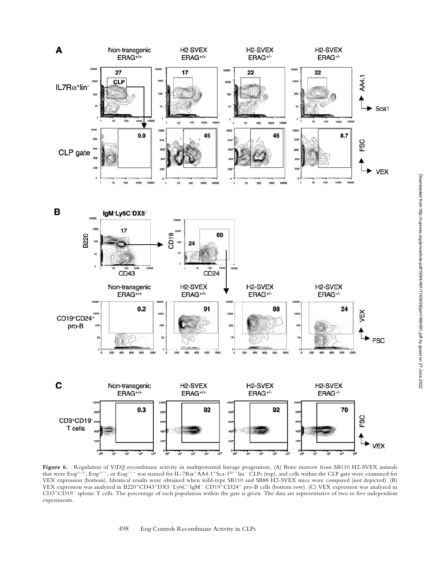

**Figure 6.** Regulation of V(D)J recombinase activity in multipotential lineage progenitors. (A) Bone marrow from SB110 H2-SVEX animals that were Erag<sup>+/+</sup>, Erag<sup>+/-</sup>, or Erag<sup>-/-</sup> was stained for IL-7Rα<sup>+</sup>AA4.1<sup>+</sup>Sca-1<sup>lo/-</sup>lin<sup>-</sup> CLPs (top), and cells within the CLP gate were examined for VEX expression (bottom). Identical results were obtained when wild-type SB110 and SB88 H2-SVEX mice were compared (not depicted). (B) VEX expression was analyzed in B220+CD43+DX5-Ly6C-IgM- CD19+CD24+ pro-B cells (bottom row). (C) VEX expression was analyzed in CD3<sup>+</sup>CD19<sup>-</sup> splenic T cells. The percentage of each population within the gate is given. The data are representative of two to five independent experiments.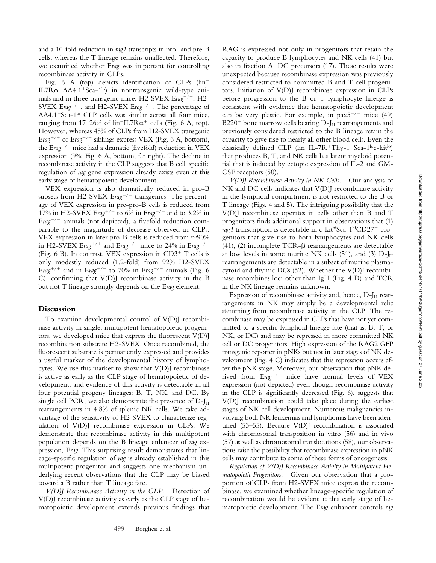and a 10-fold reduction in *rag1* transcripts in pro- and pre-B cells, whereas the T lineage remains unaffected. Therefore, we examined whether E*rag* was important for controlling recombinase activity in CLPs.

Fig. 6 A (top) depicts identification of CLPs (lin- IL7R $\alpha$ <sup>+</sup>AA4.1<sup>+</sup>Sca-1<sup>lo</sup>) in nontransgenic wild-type animals and in three transgenic mice: H2-SVEX Erag<sup>+/+</sup>, H2-SVEX Erag<sup>+/-</sup>, and H2-SVEX Erag<sup>-/-</sup>. The percentage of AA4.1<sup>+</sup>Sca-1<sup>lo</sup> CLP cells was similar across all four mice, ranging from 17–26% of  $lin^{-}IL7R\alpha^{+}$  cells (Fig. 6 A, top). However, whereas 45% of CLPs from H2-SVEX transgenic Erag<sup>+/+</sup> or Erag<sup>+/-</sup> siblings express VEX (Fig. 6 A, bottom), the Erag<sup>-/-</sup> mice had a dramatic (fivefold) reduction in VEX expression (9%; Fig. 6 A, bottom, far right). The decline in recombinase activity in the CLP suggests that B cell–specific regulation of *rag* gene expression already exists even at this early stage of hematopoietic development.

VEX expression is also dramatically reduced in pro-B subsets from H2-SVEX Erag<sup>-/-</sup> transgenics. The percentage of VEX expression in pre-pro-B cells is reduced from 17% in H2-SVEX Erag<sup>+/+</sup> to 6% in Erag<sup>+/-</sup> and to 3.2% in Erag<sup>-/-</sup> animals (not depicted), a fivefold reduction comparable to the magnitude of decrease observed in CLPs. VEX expression in later pro-B cells is reduced from  $\sim$ 90% in H2-SVEX Erag<sup>+/+</sup> and Erag<sup>+/-</sup> mice to 24% in Erag<sup>-/-</sup> (Fig. 6 B). In contrast, VEX expression in  $CD3^+$  T cells is only modestly reduced (1.2-fold) from 92% H2-SVEX Erag<sup>+/+</sup> and in Erag<sup>+/-</sup> to 70% in Erag<sup>-/-</sup> animals (Fig. 6 C), confirming that V(D)J recombinase activity in the B but not T lineage strongly depends on the E*rag* element.

### **Discussion**

To examine developmental control of V(D)J recombinase activity in single, multipotent hematopoietic progenitors, we developed mice that express the fluorescent V(D)J recombination substrate H2-SVEX. Once recombined, the fluorescent substrate is permanently expressed and provides a useful marker of the developmental history of lymphocytes. We use this marker to show that V(D)J recombinase is active as early as the CLP stage of hematopoietic of development, and evidence of this activity is detectable in all four potential progeny lineages: B, T, NK, and DC. By single cell PCR, we also demonstrate the presence of  $D-I_H$ rearrangements in 4.8% of splenic NK cells. We take advantage of the sensitivity of H2-SVEX to characterize regulation of V(D)J recombinase expression in CLPs. We demonstrate that recombinase activity in this multipotent population depends on the B lineage enhancer of *rag* expression, E*rag*. This surprising result demonstrates that lineage-specific regulation of *rag* is already established in this multipotent progenitor and suggests one mechanism underlying recent observations that the CLP may be biased toward a B rather than T lineage fate.

*V(D)J Recombinase Activity in the CLP.* Detection of V(D)J recombinase activity as early as the CLP stage of hematopoietic development extends previous findings that RAG is expressed not only in progenitors that retain the capacity to produce B lymphocytes and NK cells (41) but also in fraction  $A_1$  DC precursors (17). These results were unexpected because recombinase expression was previously considered restricted to committed B and T cell progenitors. Initiation of V(D)J recombinase expression in CLPs before progression to the B or T lymphocyte lineage is consistent with evidence that hematopoietic development can be very plastic. For example, in  $\text{pax}5^{-/-}$  mice (49)  $B220<sup>+</sup>$  bone marrow cells bearing D-J $_{\rm H}$  rearrangements and previously considered restricted to the B lineage retain the capacity to give rise to nearly all other blood cells. Even the classically defined CLP (lin<sup>-</sup>IL-7R<sup>+</sup>Thy-1<sup>-</sup>Sca-1<sup>lo</sup>c-kit<sup>lo</sup>) that produces B, T, and NK cells has latent myeloid potential that is induced by ectopic expression of IL-2 and GM-CSF receptors (50).

*V(D)J Recombinase Activity in NK Cells.* Our analysis of NK and DC cells indicates that V(D)J recombinase activity in the lymphoid compartment is not restricted to the B or T lineage (Figs. 4 and 5). The intriguing possibility that the V(D)J recombinase operates in cells other than B and T progenitors finds additional support in observations that (1) *rag1* transcription is detectable in c-kithiSca-1hiCD27<sup>+</sup> progenitors that give rise to both lymphocytes and NK cells (41), (2) incomplete TCR- $\beta$  rearrangements are detectable at low levels in some murine NK cells  $(51)$ , and  $(3)$  D-J<sub>H</sub> rearrangements are detectable in a subset of murine plasmacytoid and thymic DCs (52). Whether the V(D)J recombinase recombines loci other than IgH (Fig. 4 D) and TCR in the NK lineage remains unknown.

Expression of recombinase activity and, hence,  $D-J_H$  rearrangements in NK may simply be a developmental relic stemming from recombinase activity in the CLP. The recombinase may be expressed in CLPs that have not yet committed to a specific lymphoid lineage fate (that is, B, T, or NK, or DC) and may be repressed in more committed NK cell or DC progenitors. High expression of the RAG2 GFP transgenic reporter in pNKs but not in later stages of NK development (Fig. 4 C) indicates that this repression occurs after the pNK stage. Moreover, our observation that pNK derived from E*rag*-/- mice have normal levels of VEX expression (not depicted) even though recombinase activity in the CLP is significantly decreased (Fig. 6), suggests that V(D)J recombination could take place during the earliest stages of NK cell development. Numerous malignancies involving both NK leukemias and lymphomas have been identified (53–55). Because V(D)J recombination is associated with chromosomal transposition in vitro (56) and in vivo (57) as well as chromosomal translocations (58), our observations raise the possibility that recombinase expression in pNK cells may contribute to some of these forms of oncogenesis.

*Regulation of V(D)J Recombinase Activity in Multipotent Hematopoietic Progenitors.* Given our observation that a proportion of CLPs from H2-SVEX mice express the recombinase, we examined whether lineage-specific regulation of recombination would be evident at this early stage of hematopoietic development. The E*rag* enhancer controls *rag*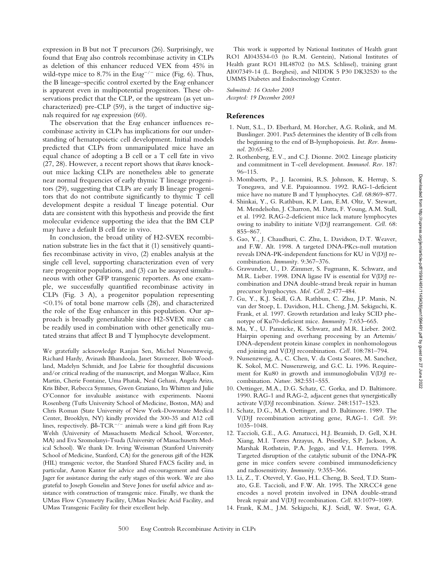expression in B but not T precursors (26). Surprisingly, we found that E*rag* also controls recombinase activity in CLPs as deletion of this enhancer reduced VEX from 45% in wild-type mice to 8.7% in the Erag<sup>-/-</sup> mice (Fig. 6). Thus, the B lineage–specific control exerted by the E*rag* enhancer is apparent even in multipotential progenitors. These observations predict that the CLP, or the upstream (as yet uncharacterized) pre-CLP (59), is the target of inductive signals required for *rag* expression (60).

The observation that the E*rag* enhancer influences recombinase activity in CLPs has implications for our understanding of hematopoietic cell development. Initial models predicted that CLPs from unmanipulated mice have an equal chance of adopting a B cell or a T cell fate in vivo (27, 28). However, a recent report shows that *ikaros* knockout mice lacking CLPs are nonetheless able to generate near normal frequencies of early thymic T lineage progenitors (29), suggesting that CLPs are early B lineage progenitors that do not contribute significantly to thymic T cell development despite a residual T lineage potential. Our data are consistent with this hypothesis and provide the first molecular evidence supporting the idea that the BM CLP may have a default B cell fate in vivo.

In conclusion, the broad utility of H2-SVEX recombination substrate lies in the fact that it (1) sensitively quantifies recombinase activity in vivo, (2) enables analysis at the single cell level, supporting characterization even of very rare progenitor populations, and (3) can be assayed simultaneous with other GFP transgenic reporters. As one example, we successfully quantified recombinase activity in CLPs (Fig. 3 A), a progenitor population representing  $0.1\%$  of total bone marrow cells (28), and characterized the role of the E*rag* enhancer in this population. Our approach is broadly generalizable since H2-SVEX mice can be readily used in combination with other genetically mutated strains that affect B and T lymphocyte development.

We gratefully acknowledge Ranjan Sen, Michel Nussenzweig, Richard Hardy, Avinash Bhandoola, Janet Stavnezer, Bob Woodland, Madelyn Schmidt, and Joe Labrie for thoughtful discussions and/or critical reading of the manuscript, and Morgan Wallace, Kim Martin, Cherie Fontaine, Uma Phatak, Neal Gehani, Angela Ariza, Kris Biber, Rebecca Symmes, Gwen Graziano, Ira Whitten and Julie O'Connor for invaluable assistance with experiments. Naomi Rosenberg (Tufts University School of Medicine, Boston, MA) and Chris Roman (State University of New York-Downstate Medical Center, Brooklyn, NY) kindly provided the 300-35 and A12 cell lines, respectively.  $\beta\delta$ -TCR<sup>-/-</sup> animals were a kind gift from Ray Welsh (University of Massachusetts Medical School, Worcester, MA) and Eva Szomolanyi-Tsuda (University of Massachusetts Medical School). We thank Dr. Irving Weissman (Stanford University School of Medicine, Stanford, CA) for the generous gift of the H2K (HIL) transgenic vector, the Stanford Shared FACS facility and, in particular, Aaron Kantor for advice and encouragement and Gina Jager for assistance during the early stages of this work. We are also grateful to Joseph Gosselin and Steve Jones for useful advice and assistance with construction of transgenic mice. Finally, we thank the UMass Flow Cytometry Facility, UMass Nucleic Acid Facility, and UMass Transgenic Facility for their excellent help.

This work is supported by National Institutes of Health grant RO1 AI043534-03 (to R.M. Gerstein), National Institutes of Health grant RO1 HL48702 (to M.S. Schlissel), training grant AI007349-14 (L. Borghesi), and NIDDK 5 P30 DK32520 to the UMMS Diabetes and Endocrinology Center.

*Submitted: 16 October 2003 Accepted: 19 December 2003*

#### **References**

- 1. Nutt, S.L., D. Eberhard, M. Horcher, A.G. Rolink, and M. Busslinger. 2001. Pax5 determines the identity of B cells from the beginning to the end of B-lymphopoiesis. *Int. Rev. Immunol.* 20:65–82.
- 2. Rothenberg, E.V., and C.J. Dionne. 2002. Lineage plasticity and commitment in T-cell development. *Immunol. Rev.* 187: 96–115.
- 3. Mombaerts, P., J. Iacomini, R.S. Johnson, K. Herrup, S. Tonegawa, and V.E. Papaioannou. 1992. RAG-1-deficient mice have no mature B and T lymphocytes. *Cell.* 68:869–877.
- 4. Shinkai, Y., G. Rathbun, K.P. Lam, E.M. Oltz, V. Stewart, M. Mendelsohn, J. Charron, M. Datta, F. Young, A.M. Stall, et al. 1992. RAG-2-deficient mice lack mature lymphocytes owing to inability to initiate V(D)J rearrangement. *Cell.* 68: 855–867.
- 5. Gao, Y., J. Chaudhuri, C. Zhu, L. Davidson, D.T. Weaver, and F.W. Alt. 1998. A targeted DNA-PKcs-null mutation reveals DNA-PK-independent functions for KU in V(D)J recombination. *Immunity.* 9:367–376.
- 6. Grawunder, U., D. Zimmer, S. Fugmann, K. Schwarz, and M.R. Lieber. 1998. DNA ligase IV is essential for V(D)J recombination and DNA double-strand break repair in human precursor lymphocytes. *Mol. Cell.* 2:477–484.
- 7. Gu, Y., K.J. Seidl, G.A. Rathbun, C. Zhu, J.P. Manis, N. van der Stoep, L. Davidson, H.L. Cheng, J.M. Sekiguchi, K. Frank, et al. 1997. Growth retardation and leaky SCID phenotype of Ku70-deficient mice. *Immunity.* 7:653–665.
- 8. Ma, Y., U. Pannicke, K. Schwarz, and M.R. Lieber. 2002. Hairpin opening and overhang processing by an Artemis/ DNA-dependent protein kinase complex in nonhomologous end joining and V(D)J recombination. *Cell.* 108:781–794.
- 9. Nussenzweig, A., C. Chen, V. da Costa Soares, M. Sanchez, K. Sokol, M.C. Nussenzweig, and G.C. Li. 1996. Requirement for Ku80 in growth and immunoglobulin V(D)J recombination. *Nature.* 382:551–555.
- 10. Oettinger, M.A., D.G. Schatz, C. Gorka, and D. Baltimore. 1990. RAG-1 and RAG-2, adjacent genes that synergistically activate V(D)J recombination. *Science.* 248:1517–1523.
- 11. Schatz, D.G., M.A. Oettinger, and D. Baltimore. 1989. The V(D)J recombination activating gene, RAG-1. *Cell.* 59: 1035–1048.
- 12. Taccioli, G.E., A.G. Amatucci, H.J. Beamish, D. Gell, X.H. Xiang, M.I. Torres Arzayus, A. Priestley, S.P. Jackson, A. Marshak Rothstein, P.A. Jeggo, and V.L. Herrera. 1998. Targeted disruption of the catalytic subunit of the DNA-PK gene in mice confers severe combined immunodeficiency and radiosensitivity. *Immunity.* 9:355–366.
- 13. Li, Z., T. Otevrel, Y. Gao, H.L. Cheng, B. Seed, T.D. Stamato, G.E. Taccioli, and F.W. Alt. 1995. The XRCC4 gene encodes a novel protein involved in DNA double-strand break repair and V(D)J recombination. *Cell.* 83:1079–1089.
- 14. Frank, K.M., J.M. Sekiguchi, K.J. Seidl, W. Swat, G.A.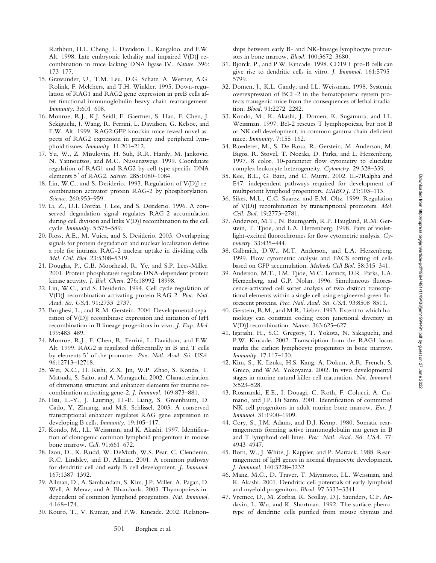Rathbun, H.L. Cheng, L. Davidson, L. Kangaloo, and F.W. Alt. 1998. Late embryonic lethality and impaired V(D)J recombination in mice lacking DNA ligase IV. *Nature.* 396: 173–177.

- 15. Grawunder, U., T.M. Leu, D.G. Schatz, A. Werner, A.G. Rolink, F. Melchers, and T.H. Winkler. 1995. Down-regulation of RAG1 and RAG2 gene expression in preB cells after functional immunoglobulin heavy chain rearrangement. *Immunity.* 3:601–608.
- 16. Monroe, R.J., K.J. Seidl, F. Gaertner, S. Han, F. Chen, J. Sekiguchi, J. Wang, R. Ferrini, L. Davidson, G. Kelsoe, and F.W. Alt. 1999. RAG2:GFP knockin mice reveal novel aspects of RAG2 expression in primary and peripheral lymphoid tissues. *Immunity.* 11:201–212.
- 17. Yu, W., Z. Misulovin, H. Suh, R.R. Hardy, M. Jankovic, N. Yannoutsos, and M.C. Nussenzweig. 1999. Coordinate regulation of RAG1 and RAG2 by cell type-specific DNA elements 5' of RAG2. Science. 285:1080-1084.
- 18. Lin, W.C., and S. Desiderio. 1993. Regulation of V(D)J recombination activator protein RAG-2 by phosphorylation. *Science.* 260:953–959.
- 19. Li, Z., D.I. Dordai, J. Lee, and S. Desiderio. 1996. A conserved degradation signal regulates RAG-2 accumulation during cell division and links V(D)J recombination to the cell cycle. *Immunity.* 5:575–589.
- 20. Ross, A.E., M. Vuica, and S. Desiderio. 2003. Overlapping signals for protein degradation and nuclear localization define a role for intrinsic RAG-2 nuclear uptake in dividing cells. *Mol. Cell. Biol.* 23:5308–5319.
- 21. Douglas, P., G.B. Moorhead, R. Ye, and S.P. Lees-Miller. 2001. Protein phosphatases regulate DNA-dependent protein kinase activity. *J. Biol. Chem.* 276:18992–18998.
- 22. Lin, W.C., and S. Desiderio. 1994. Cell cycle regulation of V(D)J recombination-activating protein RAG-2. *Proc. Natl. Acad. Sci. USA.* 91:2733–2737.
- 23. Borghesi, L., and R.M. Gerstein. 2004. Developmental separation of V(D)J recombinase expression and initiation of IgH recombination in B lineage progenitors in vivo. *J. Exp. Med.* 199:483–489.
- 24. Monroe, R.J., F. Chen, R. Ferrini, L. Davidson, and F.W. Alt. 1999. RAG2 is regulated differentially in B and T cells by elements 5' of the promoter. Proc. Natl. Acad. Sci. USA. 96:12713–12718.
- 25. Wei, X.C., H. Kishi, Z.X. Jin, W.P. Zhao, S. Kondo, T. Matsuda, S. Saito, and A. Muraguchi. 2002. Characterization of chromatin structure and enhancer elements for murine recombination activating gene-2. *J. Immunol.* 169:873–881.
- 26. Hsu, L.-Y., J. Lauring, H.-E. Liang, S. Greenbaum, D. Cado, Y. Zhuang, and M.S. Schlissel. 2003. A conserved transcriptional enhancer regulates RAG gene expression in developing B cells. *Immunity.* 19:105–117.
- 27. Kondo, M., I.L. Weissman, and K. Akashi. 1997. Identification of clonogenic common lymphoid progenitors in mouse bone marrow. *Cell.* 91:661–672.
- 28. Izon, D., K. Rudd, W. DeMuth, W.S. Pear, C. Clendenin, R.C. Lindsley, and D. Allman. 2001. A common pathway for dendritic cell and early B cell development. *J. Immunol.* 167:1387–1392.
- 29. Allman, D., A. Sambandam, S. Kim, J.P. Miller, A. Pagan, D. Well, A. Meraz, and A. Bhandoola. 2003. Thymopoiesis independent of common lymphoid progenitors. *Nat. Immunol.* 4:168–174.
- 30. Kouro, T., V. Kumar, and P.W. Kincade. 2002. Relation-

ships between early B- and NK-lineage lymphocyte precursors in bone marrow. *Blood.* 100:3672–3680.

- 31. Bjorck, P., and P.W. Kincade.  $1998$ . CD $19 +$  pro-B cells can give rise to dendritic cells in vitro. *J. Immunol.* 161:5795– 5799.
- 32. Domen, J., K.L. Gandy, and I.L. Weissman. 1998. Systemic overexpression of BCL-2 in the hematopoietic system protects transgenic mice from the consequences of lethal irradiation. *Blood.* 91:2272–2282.
- 33. Kondo, M., K. Akashi, J. Domen, K. Sugamura, and I.L. Weissman. 1997. Bcl-2 rescues T lymphopoiesis, but not B or NK cell development, in common gamma chain-deficient mice. *Immunity.* 7:155–162.
- 34. Roederer, M., S. De Rosa, R. Gerstein, M. Anderson, M. Bigos, R. Stovel, T. Nozaki, D. Parks, and L. Herzenberg. 1997. 8 color, 10-parameter flow cytometry to elucidate complex leukocyte heterogeneity. *Cytometry.* 29:328–339.
- 35. Kee, B.L., G. Bain, and C. Murre. 2002. IL-7Ralpha and E47: independent pathways required for development of multipotent lymphoid progenitors. *EMBO J.* 21:103–113.
- 36. Sikes, M.L., C.C. Suarez, and E.M. Oltz. 1999. Regulation of V(D)J recombination by transcriptional promoters. *Mol. Cell. Biol.* 19:2773–2781.
- 37. Anderson, M.T., N. Baumgarth, R.P. Haugland, R.M. Gerstein, T. Tjioe, and L.A. Herzenberg. 1998. Pairs of violetlight-excited fluorochromes for flow cytometric analysis. *Cytometry.* 33:435–444.
- 38. Galbraith, D.W., M.T. Anderson, and L.A. Herzenberg. 1999. Flow cytometric analysis and FACS sorting of cells based on GFP accumulation. *Methods Cell Biol.* 58:315–341.
- 39. Anderson, M.T., I.M. Tjioe, M.C. Lorincz, D.R. Parks, L.A. Herzenberg, and G.P. Nolan. 1996. Simultaneous fluorescence-activated cell sorter analysis of two distinct transcriptional elements within a single cell using engineered green fluorescent proteins. *Proc. Natl. Acad. Sci. USA.* 93:8508–8511.
- 40. Gerstein, R.M., and M.R. Lieber. 1993. Extent to which homology can constrain coding exon junctional diversity in V(D)J recombination. *Nature.* 363:625–627.
- 41. Igarashi, H., S.C. Gregory, T. Yokota, N. Sakaguchi, and P.W. Kincade. 2002. Transcription from the RAG1 locus marks the earliest lymphocyte progenitors in bone marrow. *Immunity.* 17:117–130.
- 42. Kim, S., K. Iizuka, H.S. Kang, A. Dokun, A.R. French, S. Greco, and W.M. Yokoyama. 2002. In vivo developmental stages in murine natural killer cell maturation. *Nat. Immunol.* 3:523–528.
- 43. Rosmaraki, E.E., I. Douagi, C. Roth, F. Colucci, A. Cumano, and J.P. Di Santo. 2001. Identification of committed NK cell progenitors in adult murine bone marrow. *Eur. J. Immunol.* 31:1900–1909.
- 44. Cory, S., J.M. Adams, and D.J. Kemp. 1980. Somatic rearrangements forming active immunoglobulin mu genes in B and T lymphoid cell lines. *Proc. Natl. Acad. Sci. USA.* 77: 4943–4947.
- 45. Born, W., J. White, J. Kappler, and P. Marrack. 1988. Rearrangement of IgH genes in normal thymocyte development. *J. Immunol.* 140:3228–3232.
- 46. Manz, M.G., D. Traver, T. Miyamoto, I.L. Weissman, and K. Akashi. 2001. Dendritic cell potentials of early lymphoid and myeloid progenitors. *Blood.* 97:3333–3341.
- 47. Vremec, D., M. Zorbas, R. Scollay, D.J. Saunders, C.F. Ardavin, L. Wu, and K. Shortman. 1992. The surface phenotype of dendritic cells purified from mouse thymus and